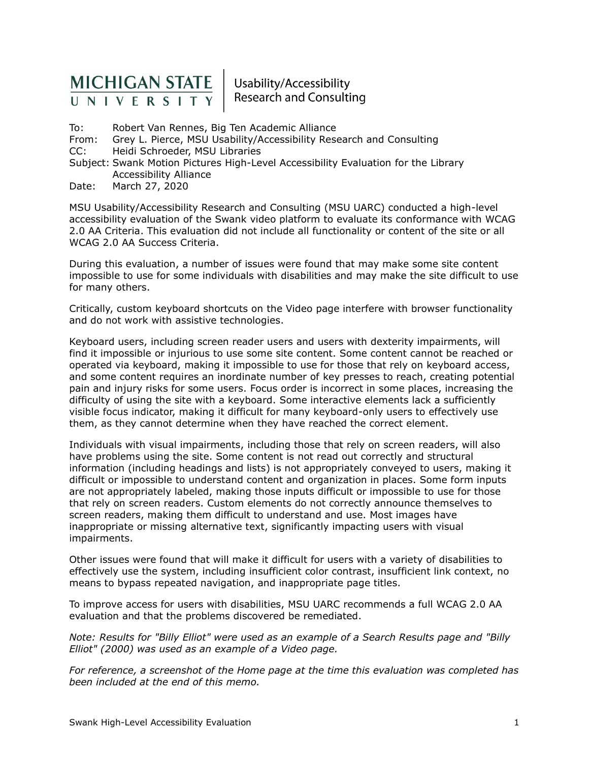# **MICHIGAN STATE** UNIVERSITY

Usability/Accessibility **Research and Consulting** 

To: Robert Van Rennes, Big Ten Academic Alliance From: Grey L. Pierce, MSU Usability/Accessibility Research and Consulting CC: Heidi Schroeder, MSU Libraries Subject: Swank Motion Pictures High-Level Accessibility Evaluation for the Library Accessibility Alliance Date: March 27, 2020

MSU Usability/Accessibility Research and Consulting (MSU UARC) conducted a high-level accessibility evaluation of the Swank video platform to evaluate its conformance with WCAG 2.0 AA Criteria. This evaluation did not include all functionality or content of the site or all WCAG 2.0 AA Success Criteria.

During this evaluation, a number of issues were found that may make some site content impossible to use for some individuals with disabilities and may make the site difficult to use for many others.

Critically, custom keyboard shortcuts on the Video page interfere with browser functionality and do not work with assistive technologies.

Keyboard users, including screen reader users and users with dexterity impairments, will find it impossible or injurious to use some site content. Some content cannot be reached or operated via keyboard, making it impossible to use for those that rely on keyboard access, and some content requires an inordinate number of key presses to reach, creating potential pain and injury risks for some users. Focus order is incorrect in some places, increasing the difficulty of using the site with a keyboard. Some interactive elements lack a sufficiently visible focus indicator, making it difficult for many keyboard-only users to effectively use them, as they cannot determine when they have reached the correct element.

Individuals with visual impairments, including those that rely on screen readers, will also have problems using the site. Some content is not read out correctly and structural information (including headings and lists) is not appropriately conveyed to users, making it difficult or impossible to understand content and organization in places. Some form inputs are not appropriately labeled, making those inputs difficult or impossible to use for those that rely on screen readers. Custom elements do not correctly announce themselves to screen readers, making them difficult to understand and use. Most images have inappropriate or missing alternative text, significantly impacting users with visual impairments.

Other issues were found that will make it difficult for users with a variety of disabilities to effectively use the system, including insufficient color contrast, insufficient link context, no means to bypass repeated navigation, and inappropriate page titles.

To improve access for users with disabilities, MSU UARC recommends a full WCAG 2.0 AA evaluation and that the problems discovered be remediated.

*Note: Results for "Billy Elliot" were used as an example of a Search Results page and "Billy Elliot" (2000) was used as an example of a Video page.*

*For reference, a screenshot of the Home page at the time this evaluation was completed has been included at the end of this memo.*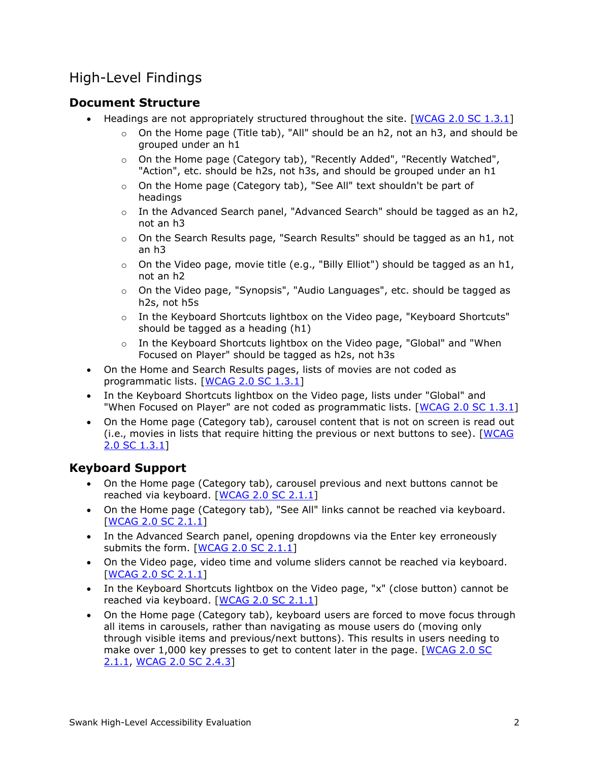### High-Level Findings

#### **Document Structure**

- Headings are not appropriately structured throughout the site. [[WCAG 2.0 SC 1.3.1](http://www.w3.org/TR/UNDERSTANDING-WCAG20/content-structure-separation-programmatic.html)]
	- $\circ$  On the Home page (Title tab), "All" should be an h2, not an h3, and should be grouped under an h1
	- o On the Home page (Category tab), "Recently Added", "Recently Watched", "Action", etc. should be h2s, not h3s, and should be grouped under an h1
	- o On the Home page (Category tab), "See All" text shouldn't be part of headings
	- o In the Advanced Search panel, "Advanced Search" should be tagged as an h2, not an h3
	- o On the Search Results page, "Search Results" should be tagged as an h1, not an h3
	- $\circ$  On the Video page, movie title (e.g., "Billy Elliot") should be tagged as an h1, not an h2
	- o On the Video page, "Synopsis", "Audio Languages", etc. should be tagged as h2s, not h5s
	- o In the Keyboard Shortcuts lightbox on the Video page, "Keyboard Shortcuts" should be tagged as a heading (h1)
	- $\circ$  In the Keyboard Shortcuts lightbox on the Video page, "Global" and "When Focused on Player" should be tagged as h2s, not h3s
- On the Home and Search Results pages, lists of movies are not coded as programmatic lists. [[WCAG 2.0 SC 1.3.1](http://www.w3.org/TR/UNDERSTANDING-WCAG20/content-structure-separation-programmatic.html)]
- In the Keyboard Shortcuts lightbox on the Video page, lists under "Global" and "When Focused on Player" are not coded as programmatic lists. [[WCAG 2.0 SC 1.3.1](http://www.w3.org/TR/UNDERSTANDING-WCAG20/content-structure-separation-programmatic.html)]
- On the Home page (Category tab), carousel content that is not on screen is read out (i.e., movies in lists that require hitting the previous or next buttons to see). [WCAG [2.0 SC 1.3.1](http://www.w3.org/TR/UNDERSTANDING-WCAG20/content-structure-separation-programmatic.html)]

### **Keyboard Support**

- On the Home page (Category tab), carousel previous and next buttons cannot be reached via keyboard. [[WCAG 2.0 SC 2.1.1](http://www.w3.org/TR/UNDERSTANDING-WCAG20/keyboard-operation-keyboard-operable.html)]
- On the Home page (Category tab), "See All" links cannot be reached via keyboard. [[WCAG 2.0 SC 2.1.1](http://www.w3.org/TR/UNDERSTANDING-WCAG20/keyboard-operation-keyboard-operable.html)]
- In the Advanced Search panel, opening dropdowns via the Enter key erroneously submits the form. [[WCAG 2.0 SC 2.1.1](http://www.w3.org/TR/UNDERSTANDING-WCAG20/keyboard-operation-keyboard-operable.html)]
- On the Video page, video time and volume sliders cannot be reached via keyboard. [[WCAG 2.0 SC 2.1.1](http://www.w3.org/TR/UNDERSTANDING-WCAG20/keyboard-operation-keyboard-operable.html)]
- In the Keyboard Shortcuts lightbox on the Video page, "x" (close button) cannot be reached via keyboard. [[WCAG 2.0 SC 2.1.1](http://www.w3.org/TR/UNDERSTANDING-WCAG20/keyboard-operation-keyboard-operable.html)]
- On the Home page (Category tab), keyboard users are forced to move focus through all items in carousels, rather than navigating as mouse users do (moving only through visible items and previous/next buttons). This results in users needing to make over 1,000 key presses to get to content later in the page. [[WCAG 2.0 SC](http://www.w3.org/TR/UNDERSTANDING-WCAG20/keyboard-operation-keyboard-operable.html)  [2.1.1](http://www.w3.org/TR/UNDERSTANDING-WCAG20/keyboard-operation-keyboard-operable.html), [WCAG 2.0 SC 2.4.3](http://www.w3.org/TR/UNDERSTANDING-WCAG20/navigation-mechanisms-focus-order.html)]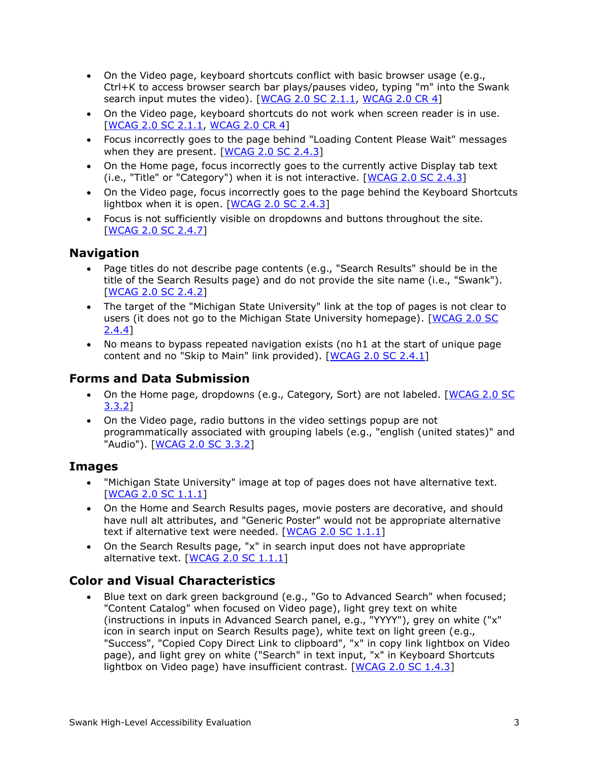- On the Video page, keyboard shortcuts conflict with basic browser usage (e.g., Ctrl+K to access browser search bar plays/pauses video, typing "m" into the Swank search input mutes the video). [[WCAG 2.0 SC 2.1.1](http://www.w3.org/TR/UNDERSTANDING-WCAG20/keyboard-operation-keyboard-operable.html), [WCAG 2.0 CR 4\]](https://www.w3.org/TR/UNDERSTANDING-WCAG20/conformance.html)
- On the Video page, keyboard shortcuts do not work when screen reader is in use. [[WCAG 2.0 SC 2.1.1](http://www.w3.org/TR/UNDERSTANDING-WCAG20/keyboard-operation-keyboard-operable.html), [WCAG 2.0 CR 4\]](https://www.w3.org/TR/UNDERSTANDING-WCAG20/conformance.html)
- Focus incorrectly goes to the page behind "Loading Content Please Wait" messages when they are present. [[WCAG 2.0 SC 2.4.3](http://www.w3.org/TR/UNDERSTANDING-WCAG20/navigation-mechanisms-focus-order.html)]
- On the Home page, focus incorrectly goes to the currently active Display tab text (i.e., "Title" or "Category") when it is not interactive. [[WCAG 2.0 SC 2.4.3](http://www.w3.org/TR/UNDERSTANDING-WCAG20/navigation-mechanisms-focus-order.html)]
- On the Video page, focus incorrectly goes to the page behind the Keyboard Shortcuts lightbox when it is open.  $[WCAG 2.0 SC 2.4.3]$  $[WCAG 2.0 SC 2.4.3]$  $[WCAG 2.0 SC 2.4.3]$
- Focus is not sufficiently visible on dropdowns and buttons throughout the site. [\[WCAG 2.0 SC 2.4.7\]](http://www.w3.org/TR/UNDERSTANDING-WCAG20/navigation-mechanisms-focus-visible.html)

#### **Navigation**

- Page titles do not describe page contents (e.g., "Search Results" should be in the title of the Search Results page) and do not provide the site name (i.e., "Swank"). [\[WCAG 2.0 SC 2.4.2\]](http://www.w3.org/TR/UNDERSTANDING-WCAG20/navigation-mechanisms-title.html)
- The target of the "Michigan State University" link at the top of pages is not clear to users (it does not go to the Michigan State University homepage). [\[WCAG 2.0 SC](http://www.w3.org/TR/UNDERSTANDING-WCAG20/navigation-mechanisms-refs.html)  [2.4.4\]](http://www.w3.org/TR/UNDERSTANDING-WCAG20/navigation-mechanisms-refs.html)
- No means to bypass repeated navigation exists (no h1 at the start of unique page content and no "Skip to Main" link provided). [\[WCAG 2.0 SC 2.4.1\]](http://www.w3.org/TR/UNDERSTANDING-WCAG20/navigation-mechanisms-skip.html)

#### **Forms and Data Submission**

- On the Home page, dropdowns (e.g., Category, Sort) are not labeled. [\[WCAG 2.0 SC](http://www.w3.org/TR/UNDERSTANDING-WCAG20/minimize-error-cues.html)  [3.3.2\]](http://www.w3.org/TR/UNDERSTANDING-WCAG20/minimize-error-cues.html)
- On the Video page, radio buttons in the video settings popup are not programmatically associated with grouping labels (e.g., "english (united states)" and "Audio"). [\[WCAG 2.0 SC 3.3.2\]](http://www.w3.org/TR/UNDERSTANDING-WCAG20/minimize-error-cues.html)

#### **Images**

- "Michigan State University" image at top of pages does not have alternative text. [\[WCAG 2.0 SC 1.1.1\]](https://www.w3.org/TR/UNDERSTANDING-WCAG20/text-equiv-all.html)
- On the Home and Search Results pages, movie posters are decorative, and should have null alt attributes, and "Generic Poster" would not be appropriate alternative text if alternative text were needed. [\[WCAG 2.0 SC 1.1.1\]](https://www.w3.org/TR/UNDERSTANDING-WCAG20/text-equiv-all.html)
- On the Search Results page, "x" in search input does not have appropriate alternative text. [\[WCAG 2.0 SC 1.1.1\]](https://www.w3.org/TR/UNDERSTANDING-WCAG20/text-equiv-all.html)

#### **Color and Visual Characteristics**

• Blue text on dark green background (e.g., "Go to Advanced Search" when focused; "Content Catalog" when focused on Video page), light grey text on white (instructions in inputs in Advanced Search panel, e.g., "YYYY"), grey on white ("x" icon in search input on Search Results page), white text on light green (e.g., "Success", "Copied Copy Direct Link to clipboard", "x" in copy link lightbox on Video page), and light grey on white ("Search" in text input, "x" in Keyboard Shortcuts lightbox on Video page) have insufficient contrast. [\[WCAG 2.0 SC 1.4.3\]](http://www.w3.org/TR/UNDERSTANDING-WCAG20/visual-audio-contrast-contrast.html)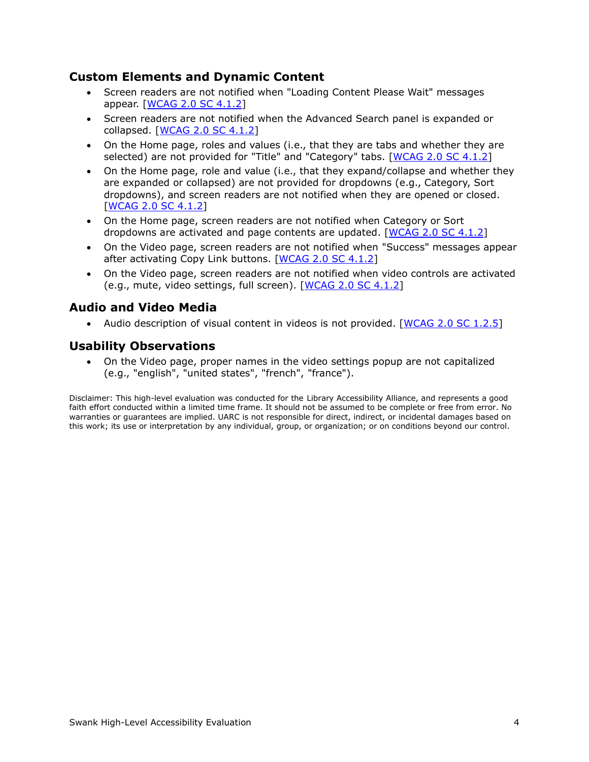#### **Custom Elements and Dynamic Content**

- Screen readers are not notified when "Loading Content Please Wait" messages appear. [\[WCAG 2.0 SC 4.1.2\]](http://www.w3.org/TR/UNDERSTANDING-WCAG20/ensure-compat-rsv.html)
- Screen readers are not notified when the Advanced Search panel is expanded or collapsed. [\[WCAG 2.0 SC 4.1.2\]](http://www.w3.org/TR/UNDERSTANDING-WCAG20/ensure-compat-rsv.html)
- On the Home page, roles and values (i.e., that they are tabs and whether they are selected) are not provided for "Title" and "Category" tabs. [\[WCAG 2.0 SC 4.1.2\]](http://www.w3.org/TR/UNDERSTANDING-WCAG20/ensure-compat-rsv.html)
- On the Home page, role and value (i.e., that they expand/collapse and whether they are expanded or collapsed) are not provided for dropdowns (e.g., Category, Sort dropdowns), and screen readers are not notified when they are opened or closed. [\[WCAG 2.0 SC 4.1.2\]](http://www.w3.org/TR/UNDERSTANDING-WCAG20/ensure-compat-rsv.html)
- On the Home page, screen readers are not notified when Category or Sort dropdowns are activated and page contents are updated. [\[WCAG 2.0 SC 4.1.2\]](http://www.w3.org/TR/UNDERSTANDING-WCAG20/ensure-compat-rsv.html)
- On the Video page, screen readers are not notified when "Success" messages appear after activating Copy Link buttons. [\[WCAG 2.0 SC 4.1.2\]](http://www.w3.org/TR/UNDERSTANDING-WCAG20/ensure-compat-rsv.html)
- On the Video page, screen readers are not notified when video controls are activated (e.g., mute, video settings, full screen). [\[WCAG 2.0 SC 4.1.2\]](http://www.w3.org/TR/UNDERSTANDING-WCAG20/ensure-compat-rsv.html)

#### **Audio and Video Media**

• Audio description of visual content in videos is not provided. [\[WCAG 2.0 SC 1.2.5](http://www.w3.org/TR/UNDERSTANDING-WCAG20/media-equiv-audio-desc-only.html)]

#### **Usability Observations**

• On the Video page, proper names in the video settings popup are not capitalized (e.g., "english", "united states", "french", "france").

Disclaimer: This high-level evaluation was conducted for the Library Accessibility Alliance, and represents a good faith effort conducted within a limited time frame. It should not be assumed to be complete or free from error. No warranties or guarantees are implied. UARC is not responsible for direct, indirect, or incidental damages based on this work; its use or interpretation by any individual, group, or organization; or on conditions beyond our control.